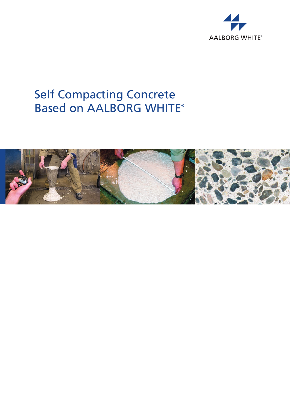

# Self Compacting Concrete Based on AALBORG WHITE®

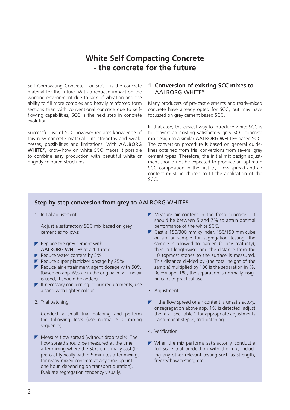## **White Self Compacting Concrete - the concrete for the future**

Self Compacting Concrete - or SCC - is the concrete material for the future. With a reduced impact on the working environment due to lack of vibration and the ability to fill more complex and heavily reinforced form sections than with conventional concrete due to selfflowing capabilities, SCC is the next step in concrete evolution.

Successful use of SCC however requires knowledge of this new concrete material - its strengths and weaknesses, possibilities and limitations. With AALBORG WHITE®, know-how on white SCC makes it possible to combine easy production with beautiful white or brightly coloured structures.

## **1. Conversion of existing SCC mixes to**  AALBORG WHITE®

Many producers of pre-cast elements and ready-mixed concrete have already opted for SCC, but may have focussed on grey cement based SCC.

In that case, the easiest way to introduce white SCC is to convert an existing satisfactory grey SCC concrete mix design to a similar AALBORG WHITE® based SCC. The conversion procedure is based on general guidelines obtained from trial conversions from several grey cement types. Therefore, the initial mix design adjustment should not be expected to produce an optimum SCC composition in the first try. Flow spread and air content must be chosen to fit the application of the SCC.

### **Step-by-step conversion from grey to** AALBORG WHITE®

1. Initial adjustment

Adjust a satisfactory SCC mix based on grey cement as follows:

- $\blacktriangleright$  Replace the grey cement with AALBORG WHITE® at a 1:1 ratio
- $\blacktriangleright$  Reduce water content by 5%
- $\blacktriangleright$  Reduce super plasticizer dosage by 25%
- $\blacktriangleright$  Reduce air entrainment agent dosage with 50% (based on app. 6% air in the original mix. If no air is used, it should be added)
- $\blacktriangleright$  If necessary concerning colour requirements, use a sand with lighter colour.
- 2. Trial batching

Conduct a small trial batching and perform the following tests (use normal SCC mixing sequence):

 $\blacktriangleright$  Measure flow spread (without drop table). The flow spread should be measured at the time after mixing where the SCC is normally cast (for pre-cast typically within 5 minutes after mixing, for ready-mixed concrete at any time up until one hour, depending on transport duration). Evaluate segregation tendency visually.

- $\blacktriangleright$  Measure air content in the fresh concrete it should be between 5 and 7% to attain optimal performance of the white SCC.
- Cast a 150/300 mm cylinder, 150/150 mm cube or similar sample for segregation testing; the sample is allowed to harden (1 day maturity), then cut lengthwise, and the distance from the 10 topmost stones to the surface is measured. This distance divided by (the total height of the sample) multiplied by 100 is the separation in %. Below app. 1%, the separation is normally insignificant to practical use.
- 3. Adjustment
- $\blacktriangleright$  If the flow spread or air content is unsatisfactory. or segregation above app. 1% is detected, adjust the mix - see Table 1 for appropriate adjustments - and repeat step 2, trial batching.
- 4. Verification
- $\blacktriangleright$  When the mix performs satisfactorily, conduct a full scale trial production with the mix, including any other relevant testing such as strength, freeze/thaw testing, etc.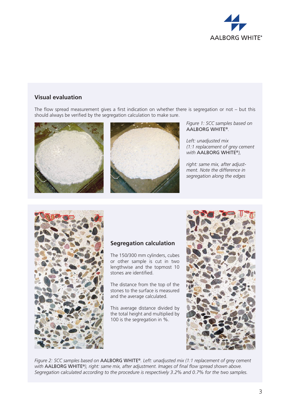

## **Visual evaluation**

The flow spread measurement gives a first indication on whether there is segregation or not – but this should always be verified by the segregation calculation to make sure.





*Figure 1: SCC samples based on*  AALBORG WHITE®*.* 

*Left: unadjusted mix (1:1 replacement of grey cement with* AALBORG WHITE®*),* 

*right: same mix, after adjustment. Note the difference in segregation along the edges*



## **Segregation calculation**

The 150/300 mm cylinders, cubes or other sample is cut in two lengthwise and the topmost 10 stones are identified.

The distance from the top of the stones to the surface is measured and the average calculated.

This average distance divided by the total height and multiplied by 100 is the segregation in %.



*Figure 2: SCC samples based on* AALBORG WHITE®*. Left: unadjusted mix (1:1 replacement of grey cement with* AALBORG WHITE®*), right: same mix, after adjustment. Images of final flow spread shown above. Segregation calculated according to the procedure is respectively 3.2% and 0.7% for the two samples.*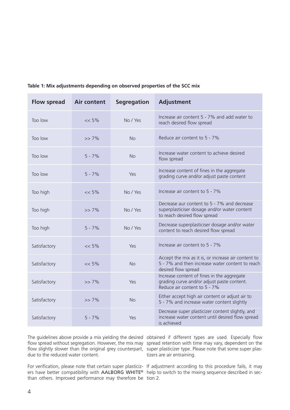| <b>Flow spread</b> | <b>Air content</b> | <b>Segregation</b> | <b>Adjustment</b>                                                                                                             |
|--------------------|--------------------|--------------------|-------------------------------------------------------------------------------------------------------------------------------|
| Too low            | $<< 5\%$           | No / Yes           | Increase air content 5 - 7% and add water to<br>reach desired flow spread                                                     |
| Too low            | $>> 7\%$           | <b>No</b>          | Reduce air content to 5 - 7%                                                                                                  |
| Too low            | $5 - 7%$           | <b>No</b>          | Increase water content to achieve desired<br>flow spread                                                                      |
| Too low            | $5 - 7%$           | Yes                | Increase content of fines in the aggregate<br>grading curve and/or adjust paste content                                       |
| Too high           | $<< 5\%$           | No / Yes           | Increase air content to 5 - 7%                                                                                                |
| Too high           | $>> 7\%$           | No / Yes           | Decrease aur content to 5 - 7% and decrease<br>superplasticiser dosage and/or water content<br>to reach desired flow spread   |
| Too high           | $5 - 7%$           | No / Yes           | Decrease superplasticiser dosage and/or water<br>content to reach desired flow spread                                         |
| Satisfactory       | $<< 5\%$           | Yes                | Increase air content to 5 - 7%                                                                                                |
| Satisfactory       | $<< 5\%$           | <b>No</b>          | Accept the mix as it is, or increase air content to<br>5 - 7% and then increase water content to reach<br>desired flow spread |
| Satisfactory       | $>> 7\%$           | Yes                | Increase content of fines in the aggregate<br>grading curve and/or adjust paste content.<br>Reduce air content to 5 - 7%      |
| Satisfactory       | $>> 7\%$           | <b>No</b>          | Either accept high air content or adjust air to<br>5 - 7% and increase water content slightly                                 |
| Satisfactory       | $5 - 7%$           | Yes                | Decrease super plasticizer content slightly, and<br>increase water content until desired flow spread<br>is achieved           |

## **Table 1: Mix adjustments depending on observed properties of the SCC mix**

due to the reduced water content.

ers have better compatibility with AALBORG WHITE® help to switch to the mixing sequence described in secthan others. Improved performance may therefore be tion 2.

The guidelines above provide a mix yielding the desired obtained if different types are used. Especially flow flow spread without segregation. However, the mix may spread retention with time may vary, dependent on the flow slightly slower than the original grey counterpart, super plasticizer type. Please note that some super plastizers are air entraining.

For verification, please note that certain super plasticiz-If adjustment according to this procedure fails, it may

÷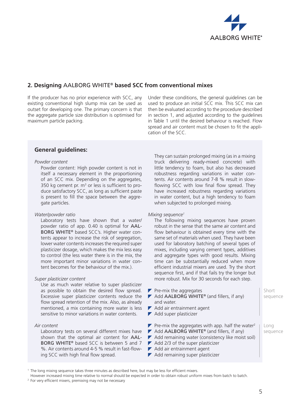

## **2. Designing** AALBORG WHITE® **based SCC from conventional mixes**

If the producer has no prior experience with SCC, any existing conventional high slump mix can be used as outset for developing one. The primary concern is that the aggregate particle size distribution is optimised for maximum particle packing.

Under these conditions, the general guidelines can be used to produce an initial SCC mix. This SCC mix can then be evaluated according to the procedure described in section 1, and adjusted according to the guidelines in Table 1 until the desired behaviour is reached. Flow spread and air content must be chosen to fit the application of the SCC.

## **General guidelines:**

#### *Powder content*

Powder content: High powder content is not in itself a necessary element in the proportioning of an SCC mix. Depending on the aggregates, 350 kg cement pr.  $m<sup>3</sup>$  or less is sufficient to produce satisfactory SCC, as long as sufficient paste is present to fill the space between the aggregate particles.

#### *Water/powder ratio*

Laboratory tests have shown that a water/ powder ratio of app. 0.40 is optimal for AAL-BORG WHITE® based SCC's. Higher water contents appear to increase the risk of segregation, lower water contents increases the required super plasticizer dosage, which makes the mix less easy to control (the less water there is in the mix, the more important minor variations in water content becomes for the behaviour of the mix.).

#### *Super plasticizer content*

Use as much water relative to super plasticizer as possible to obtain the desired flow spread. Excessive super plasticizer contents reduce the flow spread retention of the mix. Also, as already mentioned, a mix containing more water is less sensitive to minor variations in water contents.

#### *Air content*

Laboratory tests on several different mixes have shown that the optimal air content for AAL-BORG WHITE® based SCC is between 5 and 7 %. Air contents around 4-5 % result in fast-flowing SCC with high final flow spread.

They can sustain prolonged mixing (as in a mixing truck delivering ready-mixed concrete) with little tendency to foam, but also has decreased robustness regarding variations in water contents. Air contents around 7-8 % result in slowflowing SCC with low final flow spread. They have increased robustness regarding variations in water content, but a high tendency to foam when subjected to prolonged mixing.

#### *Mixing sequence1*

The following mixing sequences have proven robust in the sense that the same air content and flow behaviour is obtained every time with the same set of materials when used. They have been used for laboratory batching of several types of mixes, including varying cement types, additives and aggregate types with good results. Mixing time can be substantially reduced when more efficient industrial mixers are used. Try the short sequence first, and if that fails try the longer but more robust. Mix for 30 seconds for each step.

- $\blacktriangleright$  Pre-mix the aggregates  $\blacktriangleright$  Add AALBORG WHITE® (and fillers, if any) and water. Add air entrainment agent Add super plasticizer **Pre-mix the aggregates with app. half the water**<sup>2</sup>  $\blacktriangleright$  Add AALBORG WHITE® (and fillers, if any)  $\blacktriangleright$  Add remaining water (consistency like moist soil) Short sequence Long sequence
- $\blacktriangleright$  Add 2/3 of the super plasticizer
- Add air entrainment agent
- Add remaining super plasticizer

<sup>1</sup> The long mixing sequence takes three minutes as described here, but may be less for efficient mixers.

However increased mixing time relative to normal should be expected in order to obtain robust uniform mixes from batch to batch.

<sup>&</sup>lt;sup>2</sup> For very efficient mixers, premixing may not be necessary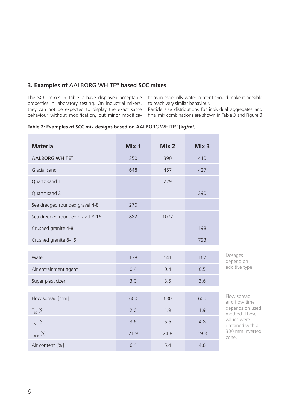## **3. Examples of** AALBORG WHITE® **based SCC mixes**

The SCC mixes in Table 2 have displayed acceptable properties in laboratory testing. On industrial mixers,

tions in especially water content should make it possible to reach very similar behaviour.

they can not be expected to display the exact same Particle size distributions for individual aggregates and behaviour without modification, but minor modifica-final mix combinations are shown in Table 3 and Figure 3

#### **Table 2: Examples of SCC mix designs based on** AALBORG WHITE® **[kg/m3 ].**

| <b>Material</b>                 | Mix 1 | Mix <sub>2</sub> | Mix <sub>3</sub> |                                                                  |  |  |
|---------------------------------|-------|------------------|------------------|------------------------------------------------------------------|--|--|
| <b>AALBORG WHITE®</b>           | 350   | 390              | 410              |                                                                  |  |  |
| Glacial sand                    | 648   | 457              | 427              |                                                                  |  |  |
| Quartz sand 1                   |       | 229              |                  |                                                                  |  |  |
| Quartz sand 2                   |       |                  | 290              |                                                                  |  |  |
| Sea dredged rounded gravel 4-8  | 270   |                  |                  |                                                                  |  |  |
| Sea dredged rounded gravel 8-16 | 882   | 1072             |                  |                                                                  |  |  |
| Crushed granite 4-8             |       |                  | 198              |                                                                  |  |  |
| Crushed granite 8-16            |       |                  | 793              |                                                                  |  |  |
|                                 |       |                  |                  |                                                                  |  |  |
| Water                           | 138   | 141              | 167              | Dosages<br>depend on                                             |  |  |
| Air entrainment agent           | 0.4   | 0.4              | 0.5              | additive type                                                    |  |  |
| Super plasticizer               | 3.0   | 3.5              | 3.6              |                                                                  |  |  |
|                                 |       |                  |                  |                                                                  |  |  |
| Flow spread [mm]                | 600   | 630              | 600              | Flow spread<br>and flow time<br>depends on used<br>method. These |  |  |
| $T_{30}$ [S]                    | 2.0   | 1.9              | 1.9              |                                                                  |  |  |
| $T_{50}$ [S]                    | 3.6   | 5.6              | 4.8              | values were<br>obtained with a<br>300 mm inverted<br>cone.       |  |  |
| $T_{max}$ [S]                   | 21.9  | 24.8             | 19.3             |                                                                  |  |  |
| Air content [%]                 | 6.4   | 5.4              | 4.8              |                                                                  |  |  |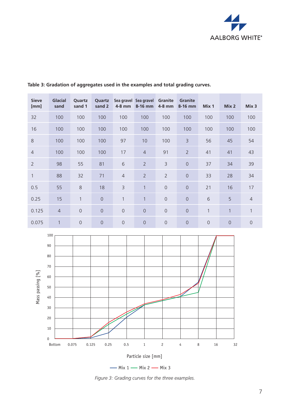

| <b>Sieve</b><br>[mm] | <b>Glacial</b><br>sand | Quartz<br>sand 1 | Quartz<br>sand 2 | Sea gravel<br>$4-8$ mm | Sea gravel<br>8-16 mm | Granite<br>4-8 mm | Granite<br>$8-16$ mm | Mix 1        | Mix 2        | Mix 3          |
|----------------------|------------------------|------------------|------------------|------------------------|-----------------------|-------------------|----------------------|--------------|--------------|----------------|
| 32                   | 100                    | 100              | 100              | 100                    | 100                   | 100               | 100                  | 100          | 100          | 100            |
| 16                   | 100                    | 100              | 100              | 100                    | 100                   | 100               | 100                  | 100          | 100          | 100            |
| 8                    | 100                    | 100              | 100              | 97                     | 10                    | 100               | $\overline{3}$       | 56           | 45           | 54             |
| $\overline{4}$       | 100                    | 100              | 100              | 17                     | $\overline{4}$        | 91                | $\overline{2}$       | 41           | 41           | 43             |
| $\overline{2}$       | 98                     | 55               | 81               | 6                      | $\overline{2}$        | $\mathsf{B}$      | $\overline{0}$       | 37           | 34           | 39             |
| $\mathbf{1}$         | 88                     | 32               | 71               | $\overline{4}$         | $\overline{2}$        | $\overline{2}$    | $\overline{0}$       | 33           | 28           | 34             |
| 0.5                  | 55                     | $8\phantom{1}$   | 18               | $\overline{3}$         | $\mathbf{1}$          | $\overline{0}$    | $\overline{0}$       | 21           | 16           | 17             |
| 0.25                 | 15                     | $\mathbf{1}$     | $\overline{0}$   | $\mathbf{1}$           | $\mathbf{1}$          | $\mathbf 0$       | $\overline{0}$       | 6            | 5            | $\overline{4}$ |
| 0.125                | $\overline{4}$         | $\overline{0}$   | $\overline{0}$   | $\mathbf 0$            | $\overline{0}$        | $\mathbf 0$       | $\overline{0}$       | $\mathbf{1}$ | $\mathbf{1}$ | 1              |
| 0.075                | $\mathbf{1}$           | $\overline{0}$   | $\overline{0}$   | $\mathbf 0$            | $\overline{0}$        | $\mathbf 0$       | $\overline{0}$       | $\mathbf 0$  | $\mathbf 0$  | $\overline{0}$ |

## **Table 3: Gradation of aggregates used in the examples and total grading curves.**



 $-$  Mix 1  $-$  Mix 2  $-$  Mix 3

*Figure 3: Grading curves for the three examples.*